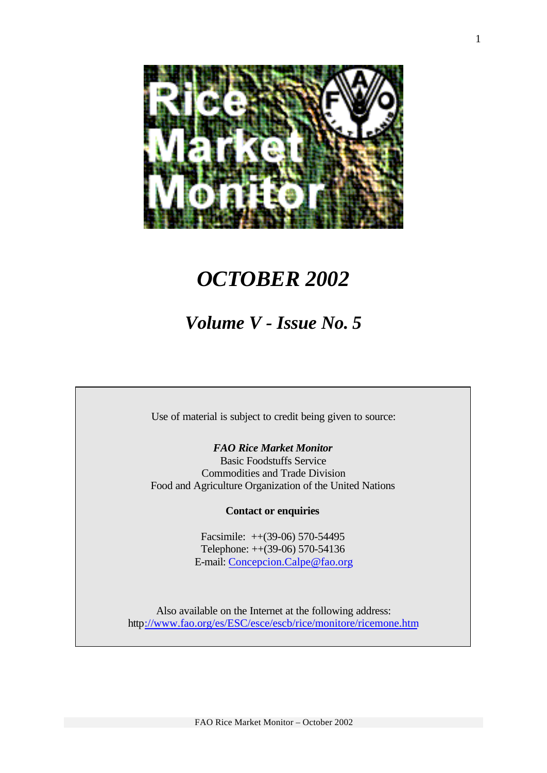

# *OCTOBER 2002*

# *Volume V - Issue No. 5*

Use of material is subject to credit being given to source:

*FAO Rice Market Monitor* Basic Foodstuffs Service Commodities and Trade Division Food and Agriculture Organization of the United Nations

## **Contact or enquiries**

Facsimile: ++(39-06) 570-54495 Telephone: ++(39-06) 570-54136 E-mail: Concepcion.Calpe@fao.org

Also available on the Internet at the following address: http://www.fao.org/es/ESC/esce/escb/rice/monitore/ricemone.htm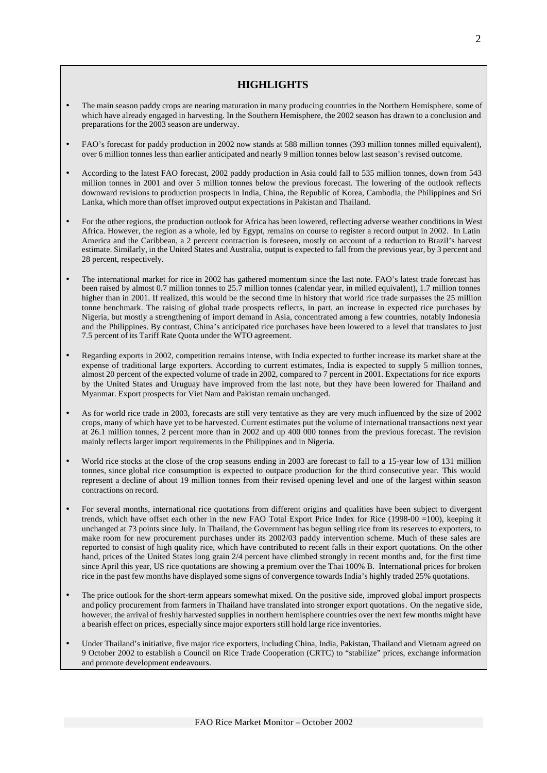#### **HIGHLIGHTS**

- The main season paddy crops are nearing maturation in many producing countries in the Northern Hemisphere, some of which have already engaged in harvesting. In the Southern Hemisphere, the 2002 season has drawn to a conclusion and preparations for the 2003 season are underway.
- FAO's forecast for paddy production in 2002 now stands at 588 million tonnes (393 million tonnes milled equivalent), over 6 million tonnes less than earlier anticipated and nearly 9 million tonnes below last season's revised outcome.
- According to the latest FAO forecast, 2002 paddy production in Asia could fall to 535 million tonnes, down from 543 million tonnes in 2001 and over 5 million tonnes below the previous forecast. The lowering of the outlook reflects downward revisions to production prospects in India, China, the Republic of Korea, Cambodia, the Philippines and Sri Lanka, which more than offset improved output expectations in Pakistan and Thailand.
- For the other regions, the production outlook for Africa has been lowered, reflecting adverse weather conditions in West Africa. However, the region as a whole, led by Egypt, remains on course to register a record output in 2002. In Latin America and the Caribbean, a 2 percent contraction is foreseen, mostly on account of a reduction to Brazil's harvest estimate. Similarly, in the United States and Australia, output is expected to fall from the previous year, by 3 percent and 28 percent, respectively.
- The international market for rice in 2002 has gathered momentum since the last note. FAO's latest trade forecast has been raised by almost 0.7 million tonnes to 25.7 million tonnes (calendar year, in milled equivalent), 1.7 million tonnes higher than in 2001. If realized, this would be the second time in history that world rice trade surpasses the 25 million tonne benchmark. The raising of global trade prospects reflects, in part, an increase in expected rice purchases by Nigeria, but mostly a strengthening of import demand in Asia, concentrated among a few countries, notably Indonesia and the Philippines. By contrast, China's anticipated rice purchases have been lowered to a level that translates to just 7.5 percent of its Tariff Rate Quota under the WTO agreement.
- Regarding exports in 2002, competition remains intense, with India expected to further increase its market share at the expense of traditional large exporters. According to current estimates, India is expected to supply 5 million tonnes, almost 20 percent of the expected volume of trade in 2002, compared to 7 percent in 2001. Expectations for rice exports by the United States and Uruguay have improved from the last note, but they have been lowered for Thailand and Myanmar. Export prospects for Viet Nam and Pakistan remain unchanged.
- As for world rice trade in 2003, forecasts are still very tentative as they are very much influenced by the size of 2002 crops, many of which have yet to be harvested. Current estimates put the volume of international transactions next year at 26.1 million tonnes, 2 percent more than in 2002 and up 400 000 tonnes from the previous forecast. The revision mainly reflects larger import requirements in the Philippines and in Nigeria.
- World rice stocks at the close of the crop seasons ending in 2003 are forecast to fall to a 15-year low of 131 million tonnes, since global rice consumption is expected to outpace production for the third consecutive year. This would represent a decline of about 19 million tonnes from their revised opening level and one of the largest within season contractions on record.
- For several months, international rice quotations from different origins and qualities have been subject to divergent trends, which have offset each other in the new FAO Total Export Price Index for Rice (1998-00 =100), keeping it unchanged at 73 points since July. In Thailand, the Government has begun selling rice from its reserves to exporters, to make room for new procurement purchases under its 2002/03 paddy intervention scheme. Much of these sales are reported to consist of high quality rice, which have contributed to recent falls in their export quotations. On the other hand, prices of the United States long grain 2/4 percent have climbed strongly in recent months and, for the first time since April this year, US rice quotations are showing a premium over the Thai 100% B. International prices for broken rice in the past few months have displayed some signs of convergence towards India's highly traded 25% quotations.
- The price outlook for the short-term appears somewhat mixed. On the positive side, improved global import prospects and policy procurement from farmers in Thailand have translated into stronger export quotations. On the negative side, however, the arrival of freshly harvested supplies in northern hemisphere countries over the next few months might have a bearish effect on prices, especially since major exporters still hold large rice inventories.
- Under Thailand's initiative, five major rice exporters, including China, India, Pakistan, Thailand and Vietnam agreed on 9 October 2002 to establish a Council on Rice Trade Cooperation (CRTC) to "stabilize" prices, exchange information and promote development endeavours.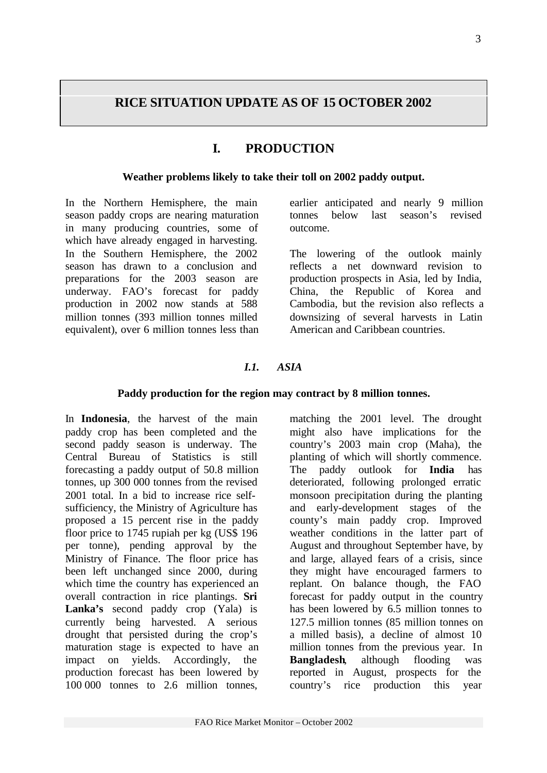# **RICE SITUATION UPDATE AS OF 15 OCTOBER 2002**

# **I. PRODUCTION**

#### **Weather problems likely to take their toll on 2002 paddy output.**

In the Northern Hemisphere, the main season paddy crops are nearing maturation in many producing countries, some of which have already engaged in harvesting. In the Southern Hemisphere, the 2002 season has drawn to a conclusion and preparations for the 2003 season are underway. FAO's forecast for paddy production in 2002 now stands at 588 million tonnes (393 million tonnes milled equivalent), over 6 million tonnes less than earlier anticipated and nearly 9 million tonnes below last season's revised outcome.

The lowering of the outlook mainly reflects a net downward revision to production prospects in Asia, led by India, China, the Republic of Korea and Cambodia, but the revision also reflects a downsizing of several harvests in Latin American and Caribbean countries.

# *I.1. ASIA*

### **Paddy production for the region may contract by 8 million tonnes.**

In **Indonesia**, the harvest of the main paddy crop has been completed and the second paddy season is underway. The Central Bureau of Statistics is still forecasting a paddy output of 50.8 million tonnes, up 300 000 tonnes from the revised 2001 total. In a bid to increase rice selfsufficiency, the Ministry of Agriculture has proposed a 15 percent rise in the paddy floor price to 1745 rupiah per kg (US\$ 196 per tonne), pending approval by the Ministry of Finance. The floor price has been left unchanged since 2000, during which time the country has experienced an overall contraction in rice plantings. **Sri Lanka's** second paddy crop (Yala) is currently being harvested. A serious drought that persisted during the crop's maturation stage is expected to have an impact on yields. Accordingly, the production forecast has been lowered by 100 000 tonnes to 2.6 million tonnes,

matching the 2001 level. The drought might also have implications for the country's 2003 main crop (Maha), the planting of which will shortly commence. The paddy outlook for **India** has deteriorated, following prolonged erratic monsoon precipitation during the planting and early-development stages of the county's main paddy crop. Improved weather conditions in the latter part of August and throughout September have, by and large, allayed fears of a crisis, since they might have encouraged farmers to replant. On balance though, the FAO forecast for paddy output in the country has been lowered by 6.5 million tonnes to 127.5 million tonnes (85 million tonnes on a milled basis), a decline of almost 10 million tonnes from the previous year. In **Bangladesh**, although flooding was reported in August, prospects for the country's rice production this year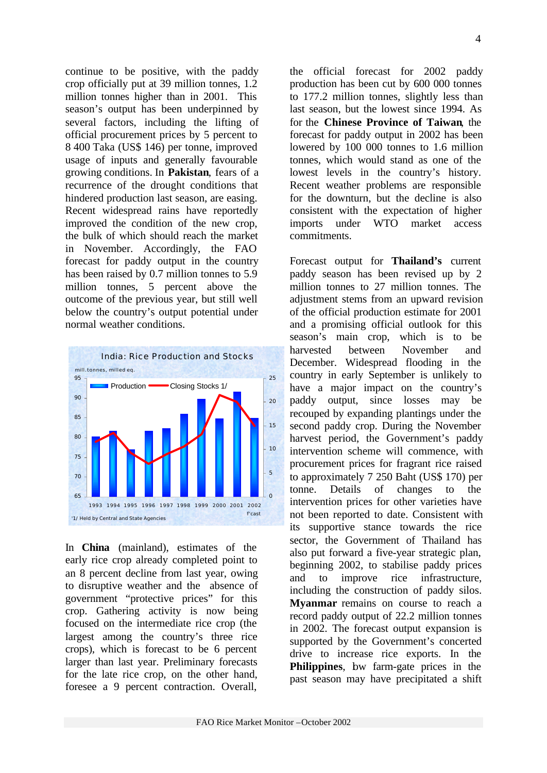continue to be positive, with the paddy crop officially put at 39 million tonnes, 1.2 million tonnes higher than in 2001. This season's output has been underpinned by several factors, including the lifting of official procurement prices by 5 percent to 8 400 Taka (US\$ 146) per tonne, improved usage of inputs and generally favourable growing conditions. In **Pakistan**, fears of a recurrence of the drought conditions that hindered production last season, are easing. Recent widespread rains have reportedly improved the condition of the new crop, the bulk of which should reach the market in November. Accordingly, the FAO forecast for paddy output in the country has been raised by 0.7 million tonnes to 5.9 million tonnes, 5 percent above the outcome of the previous year, but still well below the country's output potential under normal weather conditions.



In **China** (mainland), estimates of the early rice crop already completed point to an 8 percent decline from last year, owing to disruptive weather and the absence of government "protective prices" for this crop. Gathering activity is now being focused on the intermediate rice crop (the largest among the country's three rice crops), which is forecast to be 6 percent larger than last year. Preliminary forecasts for the late rice crop, on the other hand, foresee a 9 percent contraction. Overall,

the official forecast for 2002 paddy production has been cut by 600 000 tonnes to 177.2 million tonnes, slightly less than last season, but the lowest since 1994. As for the **Chinese Province of Taiwan**, the forecast for paddy output in 2002 has been lowered by 100 000 tonnes to 1.6 million tonnes, which would stand as one of the lowest levels in the country's history. Recent weather problems are responsible for the downturn, but the decline is also consistent with the expectation of higher imports under WTO market access commitments.

Forecast output for **Thailand's** current paddy season has been revised up by 2 million tonnes to 27 million tonnes. The adjustment stems from an upward revision of the official production estimate for 2001 and a promising official outlook for this season's main crop, which is to be harvested between November and December. Widespread flooding in the country in early September is unlikely to have a major impact on the country's paddy output, since losses may be recouped by expanding plantings under the second paddy crop. During the November harvest period, the Government's paddy intervention scheme will commence, with procurement prices for fragrant rice raised to approximately 7 250 Baht (US\$ 170) per tonne. Details of changes to the intervention prices for other varieties have not been reported to date. Consistent with its supportive stance towards the rice sector, the Government of Thailand has also put forward a five-year strategic plan, beginning 2002, to stabilise paddy prices and to improve rice infrastructure, including the construction of paddy silos. **Myanmar** remains on course to reach a record paddy output of 22.2 million tonnes in 2002. The forecast output expansion is supported by the Government's concerted drive to increase rice exports. In the **Philippines**, bw farm-gate prices in the past season may have precipitated a shift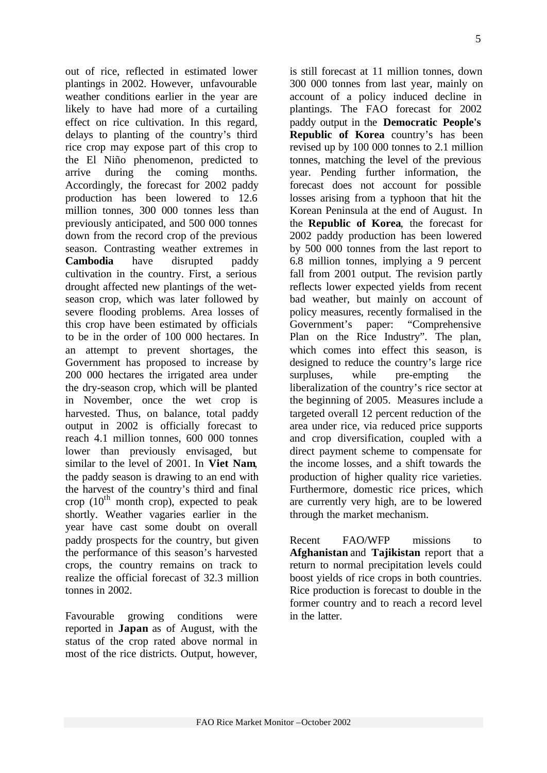out of rice, reflected in estimated lower plantings in 2002. However, unfavourable weather conditions earlier in the year are likely to have had more of a curtailing effect on rice cultivation. In this regard, delays to planting of the country's third rice crop may expose part of this crop to the El Niño phenomenon, predicted to arrive during the coming months. Accordingly, the forecast for 2002 paddy production has been lowered to 12.6 million tonnes, 300 000 tonnes less than previously anticipated, and 500 000 tonnes down from the record crop of the previous season. Contrasting weather extremes in **Cambodia** have disrupted paddy cultivation in the country. First, a serious drought affected new plantings of the wetseason crop, which was later followed by severe flooding problems. Area losses of this crop have been estimated by officials to be in the order of 100 000 hectares. In an attempt to prevent shortages, the Government has proposed to increase by 200 000 hectares the irrigated area under the dry-season crop, which will be planted in November, once the wet crop is harvested. Thus, on balance, total paddy output in 2002 is officially forecast to reach 4.1 million tonnes, 600 000 tonnes lower than previously envisaged, but similar to the level of 2001. In **Viet Nam**, the paddy season is drawing to an end with the harvest of the country's third and final crop  $(10^{th}$  month crop), expected to peak shortly. Weather vagaries earlier in the year have cast some doubt on overall paddy prospects for the country, but given the performance of this season's harvested crops, the country remains on track to realize the official forecast of 32.3 million tonnes in 2002.

Favourable growing conditions were reported in **Japan** as of August, with the status of the crop rated above normal in most of the rice districts. Output, however,

is still forecast at 11 million tonnes, down 300 000 tonnes from last year, mainly on account of a policy induced decline in plantings. The FAO forecast for 2002 paddy output in the **Democratic People's Republic of Korea** country's has been revised up by 100 000 tonnes to 2.1 million tonnes, matching the level of the previous year. Pending further information, the forecast does not account for possible losses arising from a typhoon that hit the Korean Peninsula at the end of August. In the **Republic of Korea**, the forecast for 2002 paddy production has been lowered by 500 000 tonnes from the last report to 6.8 million tonnes, implying a 9 percent fall from 2001 output. The revision partly reflects lower expected yields from recent bad weather, but mainly on account of policy measures, recently formalised in the Government's paper: "Comprehensive Plan on the Rice Industry". The plan, which comes into effect this season, is designed to reduce the country's large rice surpluses, while pre-empting the liberalization of the country's rice sector at the beginning of 2005. Measures include a targeted overall 12 percent reduction of the area under rice, via reduced price supports and crop diversification, coupled with a direct payment scheme to compensate for the income losses, and a shift towards the production of higher quality rice varieties. Furthermore, domestic rice prices, which are currently very high, are to be lowered through the market mechanism.

Recent FAO/WFP missions to **Afghanistan** and **Tajikistan** report that a return to normal precipitation levels could boost yields of rice crops in both countries. Rice production is forecast to double in the former country and to reach a record level in the latter.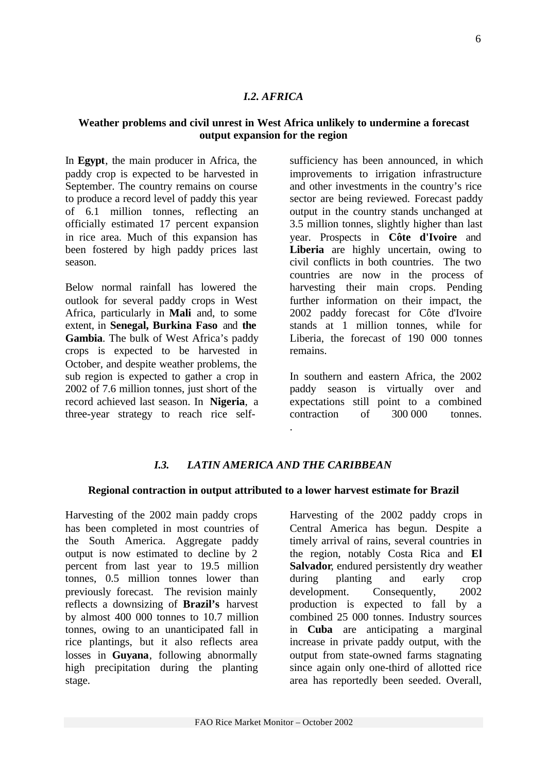## *I.2. AFRICA*

## **Weather problems and civil unrest in West Africa unlikely to undermine a forecast output expansion for the region**

In **Egypt**, the main producer in Africa, the paddy crop is expected to be harvested in September. The country remains on course to produce a record level of paddy this year of 6.1 million tonnes, reflecting an officially estimated 17 percent expansion in rice area. Much of this expansion has been fostered by high paddy prices last season.

Below normal rainfall has lowered the outlook for several paddy crops in West Africa, particularly in **Mali** and, to some extent, in **Senegal, Burkina Faso** and **the Gambia**. The bulk of West Africa's paddy crops is expected to be harvested in October, and despite weather problems, the sub region is expected to gather a crop in 2002 of 7.6 million tonnes, just short of the record achieved last season. In **Nigeria**, a three-year strategy to reach rice selfsufficiency has been announced, in which improvements to irrigation infrastructure and other investments in the country's rice sector are being reviewed. Forecast paddy output in the country stands unchanged at 3.5 million tonnes, slightly higher than last year. Prospects in **Côte d'Ivoire** and Liberia are highly uncertain, owing to civil conflicts in both countries. The two countries are now in the process of harvesting their main crops. Pending further information on their impact, the 2002 paddy forecast for Côte d'Ivoire stands at 1 million tonnes, while for Liberia, the forecast of 190 000 tonnes remains.

In southern and eastern Africa, the 2002 paddy season is virtually over and expectations still point to a combined contraction of 300 000 tonnes.

# *I.3. LATIN AMERICA AND THE CARIBBEAN*

.

### **Regional contraction in output attributed to a lower harvest estimate for Brazil**

Harvesting of the 2002 main paddy crops has been completed in most countries of the South America. Aggregate paddy output is now estimated to decline by 2 percent from last year to 19.5 million tonnes, 0.5 million tonnes lower than previously forecast. The revision mainly reflects a downsizing of **Brazil's** harvest by almost 400 000 tonnes to 10.7 million tonnes, owing to an unanticipated fall in rice plantings, but it also reflects area losses in **Guyana**, following abnormally high precipitation during the planting stage.

Harvesting of the 2002 paddy crops in Central America has begun. Despite a timely arrival of rains, several countries in the region, notably Costa Rica and **El Salvador**, endured persistently dry weather during planting and early crop development. Consequently, 2002 production is expected to fall by a combined 25 000 tonnes. Industry sources in **Cuba** are anticipating a marginal increase in private paddy output, with the output from state-owned farms stagnating since again only one-third of allotted rice area has reportedly been seeded. Overall,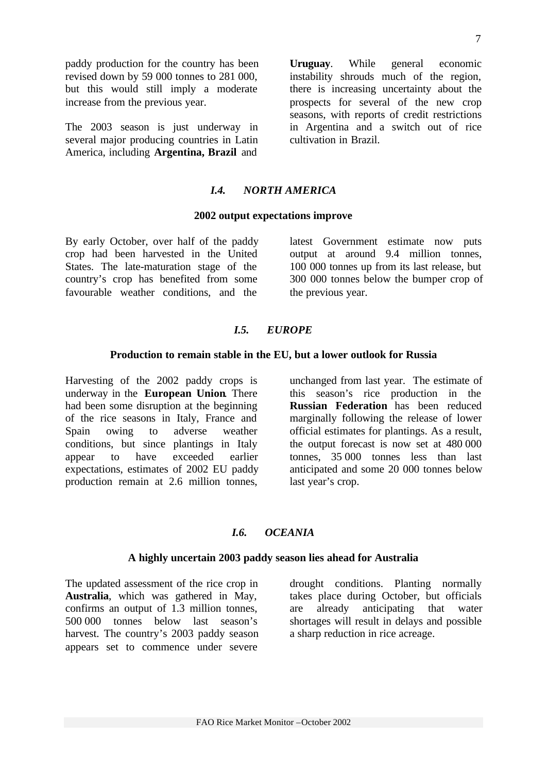paddy production for the country has been revised down by 59 000 tonnes to 281 000, but this would still imply a moderate increase from the previous year.

The 2003 season is just underway in several major producing countries in Latin America, including **Argentina, Brazil** and

**Uruguay**. While general economic instability shrouds much of the region, there is increasing uncertainty about the prospects for several of the new crop seasons, with reports of credit restrictions in Argentina and a switch out of rice cultivation in Brazil.

## *I.4. NORTH AMERICA*

#### **2002 output expectations improve**

By early October, over half of the paddy crop had been harvested in the United States. The late-maturation stage of the country's crop has benefited from some favourable weather conditions, and the

latest Government estimate now puts output at around 9.4 million tonnes, 100 000 tonnes up from its last release, but 300 000 tonnes below the bumper crop of the previous year.

### *I.5. EUROPE*

#### **Production to remain stable in the EU, but a lower outlook for Russia**

Harvesting of the 2002 paddy crops is underway in the **European Union**. There had been some disruption at the beginning of the rice seasons in Italy, France and Spain owing to adverse weather conditions, but since plantings in Italy appear to have exceeded earlier expectations, estimates of 2002 EU paddy production remain at 2.6 million tonnes,

unchanged from last year. The estimate of this season's rice production in the **Russian Federation** has been reduced marginally following the release of lower official estimates for plantings. As a result, the output forecast is now set at 480 000 tonnes, 35 000 tonnes less than last anticipated and some 20 000 tonnes below last year's crop.

#### *I.6. OCEANIA*

#### **A highly uncertain 2003 paddy season lies ahead for Australia**

The updated assessment of the rice crop in **Australia**, which was gathered in May, confirms an output of 1.3 million tonnes, 500 000 tonnes below last season's harvest. The country's 2003 paddy season appears set to commence under severe

drought conditions. Planting normally takes place during October, but officials are already anticipating that water shortages will result in delays and possible a sharp reduction in rice acreage.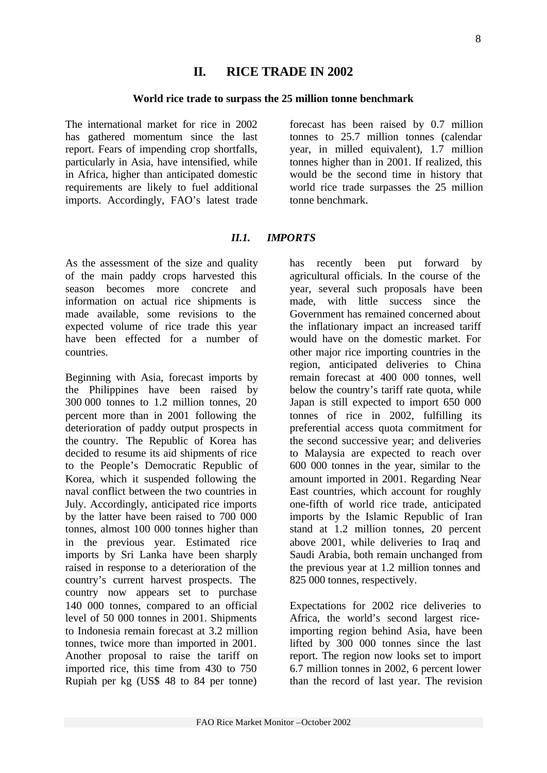# **II. RICE TRADE IN 2002**

# **World rice trade to surpass the 25 million tonne benchmark**

The international market for rice in 2002 has gathered momentum since the last report. Fears of impending crop shortfalls, particularly in Asia, have intensified, while in Africa, higher than anticipated domestic requirements are likely to fuel additional imports. Accordingly, FAO's latest trade

forecast has been raised by 0.7 million tonnes to 25.7 million tonnes (calendar year, in milled equivalent), 1.7 million tonnes higher than in 2001. If realized, this would be the second time in history that world rice trade surpasses the 25 million tonne benchmark.

# *II.1. IMPORTS*

As the assessment of the size and quality of the main paddy crops harvested this season becomes more concrete and information on actual rice shipments is made available, some revisions to the expected volume of rice trade this year have been effected for a number of countries.

Beginning with Asia, forecast imports by the Philippines have been raised by 300 000 tonnes to 1.2 million tonnes, 20 percent more than in 2001 following the deterioration of paddy output prospects in the country. The Republic of Korea has decided to resume its aid shipments of rice to the People's Democratic Republic of Korea, which it suspended following the naval conflict between the two countries in July. Accordingly, anticipated rice imports by the latter have been raised to 700 000 tonnes, almost 100 000 tonnes higher than in the previous year. Estimated rice imports by Sri Lanka have been sharply raised in response to a deterioration of the country's current harvest prospects. The country now appears set to purchase 140 000 tonnes, compared to an official level of 50 000 tonnes in 2001. Shipments to Indonesia remain forecast at 3.2 million tonnes, twice more than imported in 2001. Another proposal to raise the tariff on imported rice, this time from 430 to 750 Rupiah per kg (US\$ 48 to 84 per tonne)

has recently been put forward by agricultural officials. In the course of the year, several such proposals have been made, with little success since the Government has remained concerned about the inflationary impact an increased tariff would have on the domestic market. For other major rice importing countries in the region, anticipated deliveries to China remain forecast at 400 000 tonnes, well below the country's tariff rate quota, while Japan is still expected to import 650 000 tonnes of rice in 2002, fulfilling its preferential access quota commitment for the second successive year; and deliveries to Malaysia are expected to reach over 600 000 tonnes in the year, similar to the amount imported in 2001. Regarding Near East countries, which account for roughly one-fifth of world rice trade, anticipated imports by the Islamic Republic of Iran stand at 1.2 million tonnes, 20 percent above 2001, while deliveries to Iraq and Saudi Arabia, both remain unchanged from the previous year at 1.2 million tonnes and 825 000 tonnes, respectively.

Expectations for 2002 rice deliveries to Africa, the world's second largest riceimporting region behind Asia, have been lifted by 300 000 tonnes since the last report. The region now looks set to import 6.7 million tonnes in 2002, 6 percent lower than the record of last year. The revision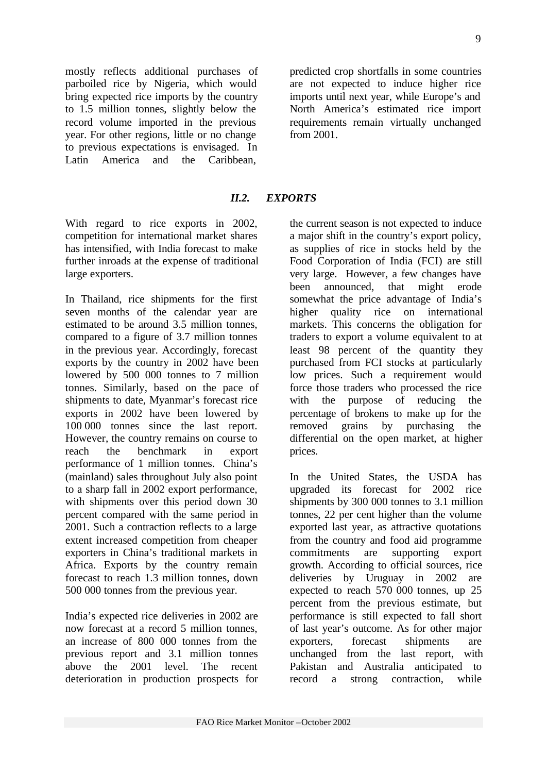mostly reflects additional purchases of parboiled rice by Nigeria, which would bring expected rice imports by the country to 1.5 million tonnes, slightly below the record volume imported in the previous year. For other regions, little or no change to previous expectations is envisaged. In Latin America and the Caribbean,

predicted crop shortfalls in some countries are not expected to induce higher rice imports until next year, while Europe's and North America's estimated rice import requirements remain virtually unchanged from 2001.

# *II.2. EXPORTS*

With regard to rice exports in 2002, competition for international market shares has intensified, with India forecast to make further inroads at the expense of traditional large exporters.

In Thailand, rice shipments for the first seven months of the calendar year are estimated to be around 3.5 million tonnes, compared to a figure of 3.7 million tonnes in the previous year. Accordingly, forecast exports by the country in 2002 have been lowered by 500 000 tonnes to 7 million tonnes. Similarly, based on the pace of shipments to date, Myanmar's forecast rice exports in 2002 have been lowered by 100 000 tonnes since the last report. However, the country remains on course to reach the benchmark in export performance of 1 million tonnes. China's (mainland) sales throughout July also point to a sharp fall in 2002 export performance, with shipments over this period down 30 percent compared with the same period in 2001. Such a contraction reflects to a large extent increased competition from cheaper exporters in China's traditional markets in Africa. Exports by the country remain forecast to reach 1.3 million tonnes, down 500 000 tonnes from the previous year.

India's expected rice deliveries in 2002 are now forecast at a record 5 million tonnes, an increase of 800 000 tonnes from the previous report and 3.1 million tonnes above the 2001 level. The recent deterioration in production prospects for

the current season is not expected to induce a major shift in the country's export policy, as supplies of rice in stocks held by the Food Corporation of India (FCI) are still very large. However, a few changes have been announced, that might erode somewhat the price advantage of India's higher quality rice on international markets. This concerns the obligation for traders to export a volume equivalent to at least 98 percent of the quantity they purchased from FCI stocks at particularly low prices. Such a requirement would force those traders who processed the rice with the purpose of reducing the percentage of brokens to make up for the removed grains by purchasing the differential on the open market, at higher prices.

In the United States, the USDA has upgraded its forecast for 2002 rice shipments by 300 000 tonnes to 3.1 million tonnes, 22 per cent higher than the volume exported last year, as attractive quotations from the country and food aid programme commitments are supporting export growth. According to official sources, rice deliveries by Uruguay in 2002 are expected to reach 570 000 tonnes, up 25 percent from the previous estimate, but performance is still expected to fall short of last year's outcome. As for other major exporters, forecast shipments are unchanged from the last report, with Pakistan and Australia anticipated to record a strong contraction, while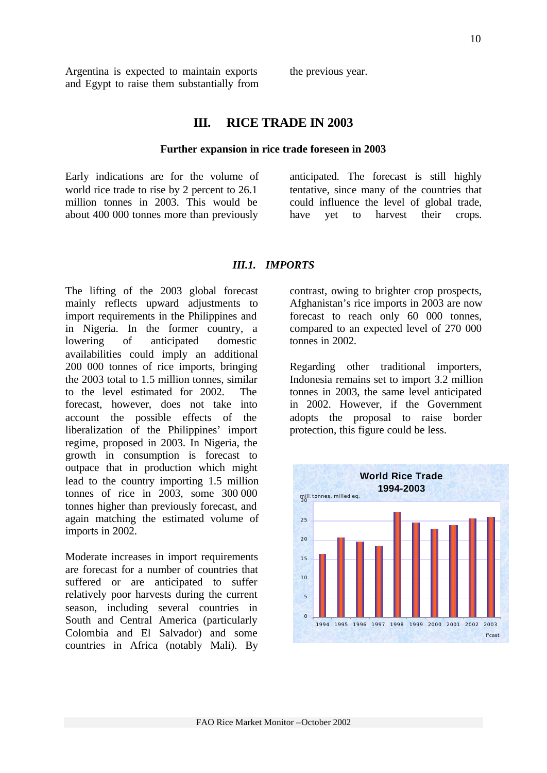Argentina is expected to maintain exports and Egypt to raise them substantially from the previous year.

# **III. RICE TRADE IN 2003**

#### **Further expansion in rice trade foreseen in 2003**

Early indications are for the volume of world rice trade to rise by 2 percent to 26.1 million tonnes in 2003. This would be about 400 000 tonnes more than previously

anticipated. The forecast is still highly tentative, since many of the countries that could influence the level of global trade, have yet to harvest their crops.

#### *III.1. IMPORTS*

The lifting of the 2003 global forecast mainly reflects upward adjustments to import requirements in the Philippines and in Nigeria. In the former country, a lowering of anticipated domestic availabilities could imply an additional 200 000 tonnes of rice imports, bringing the 2003 total to 1.5 million tonnes, similar to the level estimated for 2002. The forecast, however, does not take into account the possible effects of the liberalization of the Philippines' import regime, proposed in 2003. In Nigeria, the growth in consumption is forecast to outpace that in production which might lead to the country importing 1.5 million tonnes of rice in 2003, some 300 000 tonnes higher than previously forecast, and again matching the estimated volume of imports in 2002.

Moderate increases in import requirements are forecast for a number of countries that suffered or are anticipated to suffer relatively poor harvests during the current season, including several countries in South and Central America (particularly Colombia and El Salvador) and some countries in Africa (notably Mali). By

contrast, owing to brighter crop prospects, Afghanistan's rice imports in 2003 are now forecast to reach only 60 000 tonnes, compared to an expected level of 270 000 tonnes in 2002.

Regarding other traditional importers, Indonesia remains set to import 3.2 million tonnes in 2003, the same level anticipated in 2002. However, if the Government adopts the proposal to raise border protection, this figure could be less.

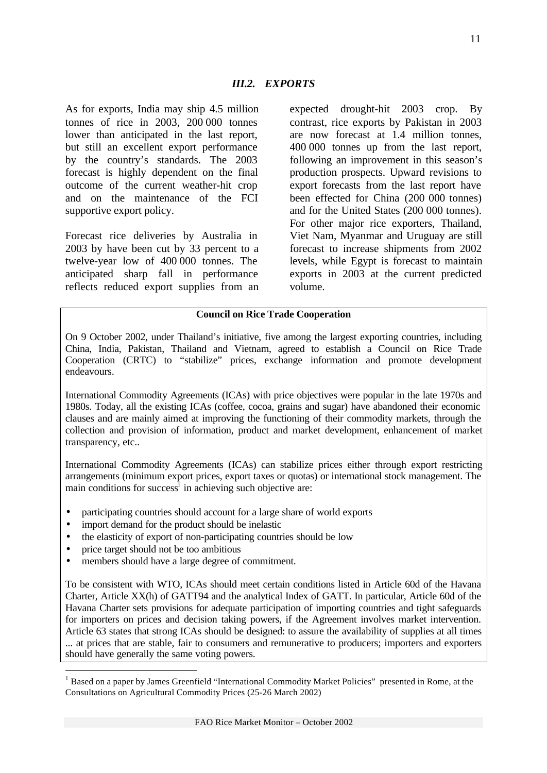As for exports, India may ship 4.5 million tonnes of rice in 2003, 200 000 tonnes lower than anticipated in the last report, but still an excellent export performance by the country's standards. The 2003 forecast is highly dependent on the final outcome of the current weather-hit crop and on the maintenance of the FCI supportive export policy.

Forecast rice deliveries by Australia in 2003 by have been cut by 33 percent to a twelve-year low of 400 000 tonnes. The anticipated sharp fall in performance reflects reduced export supplies from an expected drought-hit 2003 crop. By contrast, rice exports by Pakistan in 2003 are now forecast at 1.4 million tonnes, 400 000 tonnes up from the last report, following an improvement in this season's production prospects. Upward revisions to export forecasts from the last report have been effected for China (200 000 tonnes) and for the United States (200 000 tonnes). For other major rice exporters, Thailand, Viet Nam, Myanmar and Uruguay are still forecast to increase shipments from 2002 levels, while Egypt is forecast to maintain exports in 2003 at the current predicted volume.

#### **Council on Rice Trade Cooperation**

On 9 October 2002, under Thailand's initiative, five among the largest exporting countries, including China, India, Pakistan, Thailand and Vietnam, agreed to establish a Council on Rice Trade Cooperation (CRTC) to "stabilize" prices, exchange information and promote development endeavours.

International Commodity Agreements (ICAs) with price objectives were popular in the late 1970s and 1980s. Today, all the existing ICAs (coffee, cocoa, grains and sugar) have abandoned their economic clauses and are mainly aimed at improving the functioning of their commodity markets, through the collection and provision of information, product and market development, enhancement of market transparency, etc..

International Commodity Agreements (ICAs) can stabilize prices either through export restricting arrangements (minimum export prices, export taxes or quotas) or international stock management. The main conditions for success<sup>1</sup> in achieving such objective are:

- participating countries should account for a large share of world exports
- import demand for the product should be inelastic
- the elasticity of export of non-participating countries should be low
- price target should not be too ambitious

l

• members should have a large degree of commitment.

To be consistent with WTO, ICAs should meet certain conditions listed in Article 60d of the Havana Charter, Article XX(h) of GATT94 and the analytical Index of GATT. In particular, Article 60d of the Havana Charter sets provisions for adequate participation of importing countries and tight safeguards for importers on prices and decision taking powers, if the Agreement involves market intervention. Article 63 states that strong ICAs should be designed: to assure the availability of supplies at all times ... at prices that are stable, fair to consumers and remunerative to producers; importers and exporters should have generally the same voting powers.

<sup>&</sup>lt;sup>1</sup> Based on a paper by James Greenfield "International Commodity Market Policies" presented in Rome, at the Consultations on Agricultural Commodity Prices (25-26 March 2002)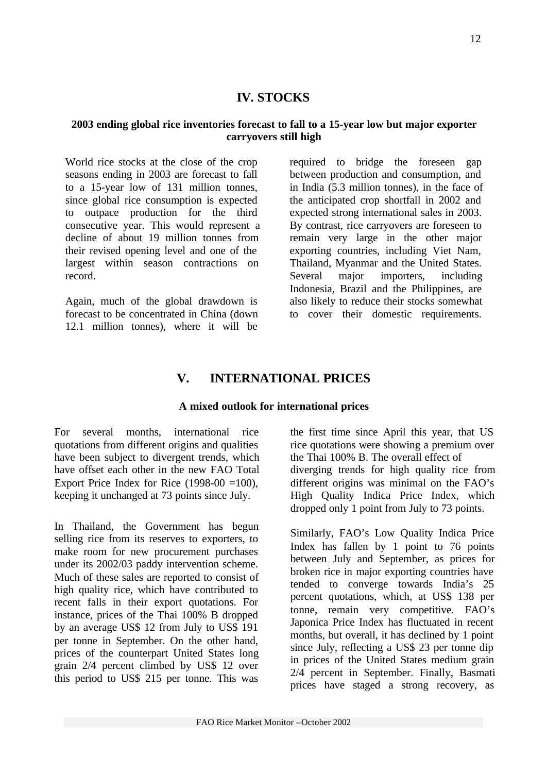# **IV. STOCKS**

### **2003 ending global rice inventories forecast to fall to a 15-year low but major exporter carryovers still high**

World rice stocks at the close of the crop seasons ending in 2003 are forecast to fall to a 15-year low of 131 million tonnes, since global rice consumption is expected to outpace production for the third consecutive year. This would represent a decline of about 19 million tonnes from their revised opening level and one of the largest within season contractions on record.

Again, much of the global drawdown is forecast to be concentrated in China (down 12.1 million tonnes), where it will be

required to bridge the foreseen gap between production and consumption, and in India (5.3 million tonnes), in the face of the anticipated crop shortfall in 2002 and expected strong international sales in 2003. By contrast, rice carryovers are foreseen to remain very large in the other major exporting countries, including Viet Nam, Thailand, Myanmar and the United States. Several major importers, including Indonesia, Brazil and the Philippines, are also likely to reduce their stocks somewhat to cover their domestic requirements.

# **V. INTERNATIONAL PRICES**

### **A mixed outlook for international prices**

For several months, international rice quotations from different origins and qualities have been subject to divergent trends, which have offset each other in the new FAO Total Export Price Index for Rice  $(1998-00) = 100$ , keeping it unchanged at 73 points since July.

In Thailand, the Government has begun selling rice from its reserves to exporters, to make room for new procurement purchases under its 2002/03 paddy intervention scheme. Much of these sales are reported to consist of high quality rice, which have contributed to recent falls in their export quotations. For instance, prices of the Thai 100% B dropped by an average US\$ 12 from July to US\$ 191 per tonne in September. On the other hand, prices of the counterpart United States long grain 2/4 percent climbed by US\$ 12 over this period to US\$ 215 per tonne. This was

the first time since April this year, that US rice quotations were showing a premium over the Thai 100% B. The overall effect of diverging trends for high quality rice from different origins was minimal on the FAO's High Quality Indica Price Index, which dropped only 1 point from July to 73 points.

Similarly, FAO's Low Quality Indica Price Index has fallen by 1 point to 76 points between July and September, as prices for broken rice in major exporting countries have tended to converge towards India's 25 percent quotations, which, at US\$ 138 per tonne, remain very competitive. FAO's Japonica Price Index has fluctuated in recent months, but overall, it has declined by 1 point since July, reflecting a US\$ 23 per tonne dip in prices of the United States medium grain 2/4 percent in September. Finally, Basmati prices have staged a strong recovery, as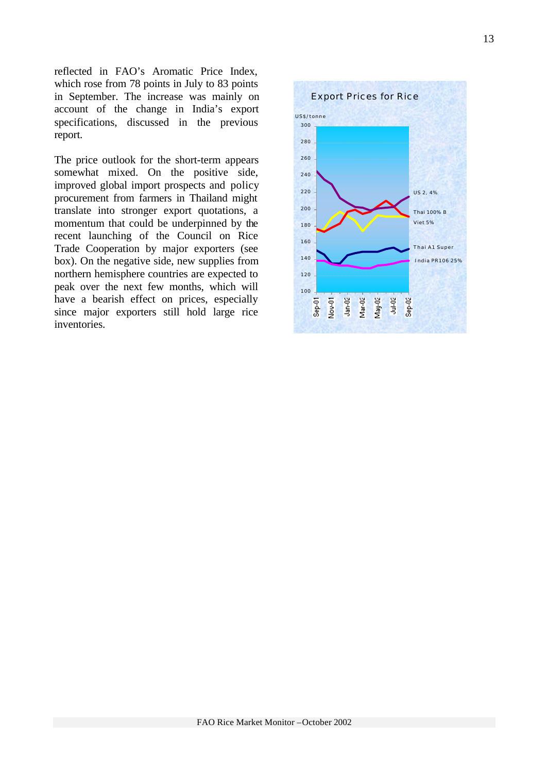reflected in FAO's Aromatic Price Index, which rose from 78 points in July to 83 points in September. The increase was mainly on account of the change in India's export specifications, discussed in the previous report.

The price outlook for the short-term appears somewhat mixed. On the positive side, improved global import prospects and policy procurement from farmers in Thailand might translate into stronger export quotations, a momentum that could be underpinned by the recent launching of the Council on Rice Trade Cooperation by major exporters (see box). On the negative side, new supplies from northern hemisphere countries are expected to peak over the next few months, which will have a bearish effect on prices, especially since major exporters still hold large rice inventories.

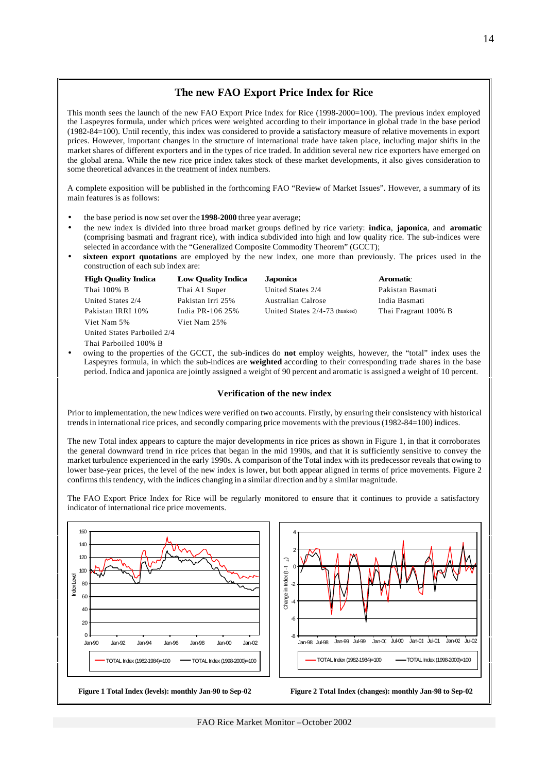#### **The new FAO Export Price Index for Rice**

This month sees the launch of the new FAO Export Price Index for Rice (1998-2000=100). The previous index employed the Laspeyres formula, under which prices were weighted according to their importance in global trade in the base period (1982-84=100). Until recently, this index was considered to provide a satisfactory measure of relative movements in export prices. However, important changes in the structure of international trade have taken place, including major shifts in the market shares of different exporters and in the types of rice traded. In addition several new rice exporters have emerged on the global arena. While the new rice price index takes stock of these market developments, it also gives consideration to some theoretical advances in the treatment of index numbers.

A complete exposition will be published in the forthcoming FAO "Review of Market Issues". However, a summary of its main features is as follows:

- the base period is now set over the **1998-2000** three year average;
- the new index is divided into three broad market groups defined by rice variety: **indica**, **japonica**, and **aromatic** (comprising basmati and fragrant rice), with indica subdivided into high and low quality rice. The sub-indices were selected in accordance with the "Generalized Composite Commodity Theorem" (GCCT);
- **sixteen export quotations** are employed by the new index, one more than previously. The prices used in the construction of each sub index are:

|           | <b>High Quality Indica</b>  | <b>Low Ouality Indica</b> | <b>Japonica</b>                 | <b>Aromatic</b>                                                                                                        |  |  |  |  |  |  |  |
|-----------|-----------------------------|---------------------------|---------------------------------|------------------------------------------------------------------------------------------------------------------------|--|--|--|--|--|--|--|
|           | Thai 100% B                 | Thai A1 Super             | United States 2/4               | Pakistan Basmati                                                                                                       |  |  |  |  |  |  |  |
|           | United States 2/4           | Pakistan Irri 25%         | Australian Calrose              | India Basmati                                                                                                          |  |  |  |  |  |  |  |
|           | Pakistan IRRI 10%           | India PR-106 25%          | United States $2/4-73$ (husked) | Thai Fragrant 100% B                                                                                                   |  |  |  |  |  |  |  |
|           | Viet Nam 5%                 | Viet Nam 25%              |                                 |                                                                                                                        |  |  |  |  |  |  |  |
|           | United States Parboiled 2/4 |                           |                                 |                                                                                                                        |  |  |  |  |  |  |  |
|           | Thai Parboiled 100% B       |                           |                                 |                                                                                                                        |  |  |  |  |  |  |  |
| $\bullet$ |                             |                           |                                 | owing to the properties of the GCCT, the sub-indices do <b>not</b> employ weights, however, the "total" index uses the |  |  |  |  |  |  |  |

Laspeyres formula, in which the sub-indices are **weighted** according to their corresponding trade shares in the base period. Indica and japonica are jointly assigned a weight of 90 percent and aromatic is assigned a weight of 10 percent.

#### **Verification of the new index**

Prior to implementation, the new indices were verified on two accounts. Firstly, by ensuring their consistency with historical trends in international rice prices, and secondly comparing price movements with the previous (1982-84=100) indices.

The new Total index appears to capture the major developments in rice prices as shown in Figure 1, in that it corroborates the general downward trend in rice prices that began in the mid 1990s, and that it is sufficiently sensitive to convey the market turbulence experienced in the early 1990s. A comparison of the Total index with its predecessor reveals that owing to lower base-year prices, the level of the new index is lower, but both appear aligned in terms of price movements. Figure 2 confirms this tendency, with the indices changing in a similar direction and by a similar magnitude.

The FAO Export Price Index for Rice will be regularly monitored to ensure that it continues to provide a satisfactory indicator of international rice price movements.

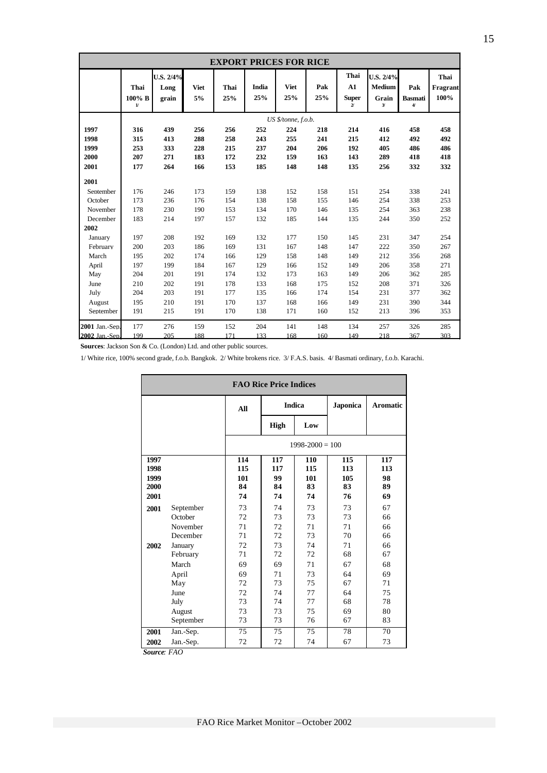| <b>EXPORT PRICES FOR RICE</b> |                                |                            |                   |             |              |                     |            |                                            |                                                      |                                           |                          |
|-------------------------------|--------------------------------|----------------------------|-------------------|-------------|--------------|---------------------|------------|--------------------------------------------|------------------------------------------------------|-------------------------------------------|--------------------------|
|                               | Thai<br>100% B<br>$\mathbf{u}$ | U.S. 2/4%<br>Long<br>grain | <b>Viet</b><br>5% | Thai<br>25% | India<br>25% | <b>Viet</b><br>25%  | Pak<br>25% | Thai<br>A1<br><b>Super</b><br>$\mathbf{z}$ | U.S. 2/4%<br><b>Medium</b><br>Grain<br>$\mathcal{Y}$ | Pak<br><b>Basmati</b><br>$\boldsymbol{4}$ | Thai<br>Fragrant<br>100% |
|                               |                                |                            |                   |             |              | US \$/tonne, f.o.b. |            |                                            |                                                      |                                           |                          |
| 1997                          | 316                            | 439                        | 256               | 256         | 252          | 224                 | 218        | 214                                        | 416                                                  | 458                                       | 458                      |
| 1998                          | 315                            | 413                        | 288               | 258         | 243          | 255                 | 241        | 215                                        | 412                                                  | 492                                       | 492                      |
| 1999                          | 253                            | 333                        | 228               | 215         | 237          | 204                 | 206        | 192                                        | 405                                                  | 486                                       | 486                      |
| 2000                          | 207                            | 271                        | 183               | 172         | 232          | 159                 | 163        | 143                                        | 289                                                  | 418                                       | 418                      |
| 2001                          | 177                            | 264                        | 166               | 153         | 185          | 148                 | 148        | 135                                        | 256                                                  | 332                                       | 332                      |
| 2001                          |                                |                            |                   |             |              |                     |            |                                            |                                                      |                                           |                          |
| Sentember                     | 176                            | 246                        | 173               | 159         | 138          | 152                 | 158        | 151                                        | 254                                                  | 338                                       | 241                      |
| October                       | 173                            | 236                        | 176               | 154         | 138          | 158                 | 155        | 146                                        | 254                                                  | 338                                       | 253                      |
| November                      | 178                            | 230                        | 190               | 153         | 134          | 170                 | 146        | 135                                        | 254                                                  | 363                                       | 238                      |
| December                      | 183                            | 214                        | 197               | 157         | 132          | 185                 | 144        | 135                                        | 244                                                  | 350                                       | 252                      |
| 2002                          |                                |                            |                   |             |              |                     |            |                                            |                                                      |                                           |                          |
| January                       | 197                            | 208                        | 192               | 169         | 132          | 177                 | 150        | 145                                        | 231                                                  | 347                                       | 254                      |
| February                      | 200                            | 203                        | 186               | 169         | 131          | 167                 | 148        | 147                                        | 222                                                  | 350                                       | 267                      |
| March                         | 195                            | 202                        | 174               | 166         | 129          | 158                 | 148        | 149                                        | 212                                                  | 356                                       | 268                      |
| April                         | 197                            | 199                        | 184               | 167         | 129          | 166                 | 152        | 149                                        | 206                                                  | 358                                       | 271                      |
| May                           | 204                            | 201                        | 191               | 174         | 132          | 173                 | 163        | 149                                        | 206                                                  | 362                                       | 285                      |
| June                          | 210                            | 202                        | 191               | 178         | 133          | 168                 | 175        | 152                                        | 208                                                  | 371                                       | 326                      |
| July                          | 204                            | 203                        | 191               | 177         | 135          | 166                 | 174        | 154                                        | 231                                                  | 377                                       | 362                      |
| August                        | 195                            | 210                        | 191               | 170         | 137          | 168                 | 166        | 149                                        | 231                                                  | 390                                       | 344                      |
| September                     | 191                            | 215                        | 191               | 170         | 138          | 171                 | 160        | 152                                        | 213                                                  | 396                                       | 353                      |
| 2001 Jan.-Sep.                | 177                            | 276                        | 159               | 152         | 204          | 141                 | 148        | 134                                        | 257                                                  | 326                                       | 285                      |
| 2002 Jan.-Sen.                | 199                            | 205                        | 188               | 171         | 133          | 168                 | 160        | 149                                        | 218                                                  | 367                                       | 303                      |

**Sources**: Jackson Son & Co. (London) Ltd. and other public sources.

1/ White rice, 100% second grade, f.o.b. Bangkok. 2/ White brokens rice. 3/ F.A.S. basis. 4/ Basmati ordinary, f.o.b. Karachi.

| <b>FAO Rice Price Indices</b> |           |                 |                 |                     |                 |                 |  |  |  |
|-------------------------------|-----------|-----------------|-----------------|---------------------|-----------------|-----------------|--|--|--|
|                               |           | All             |                 | <b>Indica</b>       | <b>Japonica</b> | <b>Aromatic</b> |  |  |  |
|                               |           |                 | High            | Low                 |                 |                 |  |  |  |
|                               |           |                 |                 | $1998 - 2000 = 100$ |                 |                 |  |  |  |
| 1997                          |           | 114             | 117             | 110                 | 115             | 117             |  |  |  |
| 1998                          |           | 115             | 117             | 115                 | 113             | 113             |  |  |  |
| 1999                          |           | 101             | 99              | 101                 | 105             | 98              |  |  |  |
| 2000                          |           | 84              | 84              | 83                  | 83              | 89              |  |  |  |
| 2001                          |           | 74              | 74              | 74                  | 76              | 69              |  |  |  |
| 2001                          | September | 73              | 74              | 73                  | 73              | 67              |  |  |  |
|                               | October   | 72              | 73              | 73                  | 73              | 66              |  |  |  |
|                               | November  | 71              | 72              | 71                  | 71              | 66              |  |  |  |
|                               | December  | 71              | 72              | 73                  | 70              | 66              |  |  |  |
| 2002                          | January   | 72              | 73              | 74                  | 71              | 66              |  |  |  |
|                               | February  | 71              | 72              | 72                  | 68              | 67              |  |  |  |
|                               | March     | 69              | 69              | 71                  | 67              | 68              |  |  |  |
|                               | April     | 69              | 71              | 73                  | 64              | 69              |  |  |  |
|                               | May       | 72              | 73              | 75                  | 67              | 71              |  |  |  |
|                               | June      | 72              | 74              | 77                  | 64              | 75              |  |  |  |
|                               | July      | 73              | 74              | 77                  | 68              | 78              |  |  |  |
|                               | August    | 73              | 73              | 75                  | 69              | 80              |  |  |  |
|                               | September | 73              | 73              | 76                  | 67              | 83              |  |  |  |
| 2001                          | Jan.-Sep. | $\overline{75}$ | $\overline{75}$ | $\overline{75}$     | 78              | 70              |  |  |  |
| 2002                          | Jan.-Sep. | 72              | 72              | 74                  | 67              | 73              |  |  |  |

 *Source: FAO*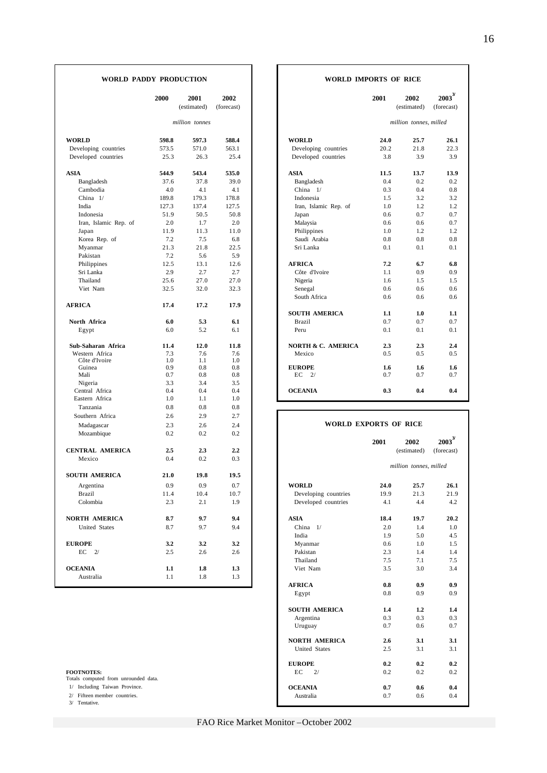|                           | 2000       | 2001<br>(estimated) | 2002<br>(forecast) |                                     | 2001       | 2002<br>(estimated)    | 2003<br>(forecast) |
|---------------------------|------------|---------------------|--------------------|-------------------------------------|------------|------------------------|--------------------|
|                           |            | million tonnes      |                    |                                     |            | million tonnes, milled |                    |
| <b>WORLD</b>              | 598.8      | 597.3               | 588.4              | <b>WORLD</b>                        | 24.0       | 25.7                   | 26.1               |
| Developing countries      | 573.5      | 571.0               | 563.1              | Developing countries                | 20.2       | 21.8                   | 22.3               |
| Developed countries       | 25.3       | 26.3                | 25.4               | Developed countries                 | 3.8        | 3.9                    | 3.9                |
| ASIA                      | 544.9      | 543.4               | 535.0              | <b>ASIA</b>                         | 11.5       | 13.7                   | 13.9               |
| Bangladesh                | 37.6       | 37.8                | 39.0               | Bangladesh                          | 0.4        | 0.2                    | 0.2                |
| Cambodia                  | 4.0        | 4.1                 | 4.1                | China 1/                            | 0.3        | 0.4                    | 0.8                |
| China 1/                  | 189.8      | 179.3               | 178.8              | Indonesia                           | 1.5        | 3.2                    | 3.2                |
| India                     | 127.3      | 137.4               | 127.5              | Iran, Islamic Rep. of               | 1.0        | 1.2                    | 1.2                |
| Indonesia                 | 51.9       | 50.5                | 50.8               | Japan                               | 0.6        | 0.7                    | 0.7                |
| Iran, Islamic Rep. of     | 2.0        | 1.7                 | 2.0                | Malaysia                            | 0.6        | 0.6                    | 0.7                |
| Japan                     | 11.9       | 11.3                | 11.0               | Philippines                         | 1.0        | 1.2                    | 1.2                |
| Korea Rep. of             | 7.2        | 7.5                 | 6.8                | Saudi Arabia                        | 0.8        | 0.8                    | 0.8                |
| Myanmar                   | 21.3       | 21.8                | 22.5               | Sri Lanka                           | 0.1        | 0.1                    | 0.1                |
| Pakistan                  | 7.2        | 5.6                 | 5.9                |                                     |            |                        |                    |
| Philippines               | 12.5       | 13.1                | 12.6               | <b>AFRICA</b>                       | 7.2        | 6.7                    | 6.8                |
| Sri Lanka                 | 2.9        | 2.7                 | 2.7                | Côte d'Ivoire                       | 1.1        | 0.9                    | 0.9                |
| Thailand                  | 25.6       | 27.0                | 27.0               | Nigeria                             | 1.6        | 1.5                    | 1.5                |
| Viet Nam                  | 32.5       | 32.0                | 32.3               | Senegal                             | 0.6        | 0.6                    | 0.6                |
|                           |            |                     |                    | South Africa                        | 0.6        | 0.6                    | 0.6                |
| <b>AFRICA</b>             | 17.4       | 17.2                | 17.9               |                                     |            |                        |                    |
|                           |            |                     |                    | <b>SOUTH AMERICA</b>                | 1.1        | 1.0                    | 1.1                |
| North Africa              | 6.0        | 5.3                 | 6.1                | <b>Brazil</b>                       | 0.7        | 0.7                    | 0.7                |
| Egypt                     | 6.0        | 5.2                 | 6.1                | Peru                                | 0.1        | 0.1                    | 0.1                |
| Sub-Saharan Africa        | 11.4       | 12.0                | 11.8               | NORTH & C. AMERICA                  | 2.3        | 2.3                    | 2.4                |
| Western Africa            | 7.3        | 7.6                 | 7.6                | Mexico                              | 0.5        | 0.5                    | 0.5                |
| Côte d'Ivoire             | 1.0        | 1.1                 | 1.0                |                                     |            |                        |                    |
| Guinea<br>Mali            | 0.9<br>0.7 | 0.8<br>0.8          | 0.8<br>0.8         | <b>EUROPE</b><br>$\frac{2}{}$<br>EС | 1.6<br>0.7 | 1.6<br>0.7             | 1.6<br>0.7         |
|                           | 3.3        | 3.4                 | 3.5                |                                     |            |                        |                    |
| Nigeria<br>Central Africa | 0.4        | 0.4                 | 0.4                | <b>OCEANIA</b>                      | 0.3        | 0.4                    | 0.4                |
| Eastern Africa            | 1.0        | 1.1                 | 1.0                |                                     |            |                        |                    |
| Tanzania                  | 0.8        | 0.8                 | 0.8                |                                     |            |                        |                    |
| Southern Africa           | 2.6        | 2.9                 | 2.7                |                                     |            |                        |                    |
|                           | 2.3        | 2.6                 | 2.4                | <b>WORLD EXPORTS OF RICE</b>        |            |                        |                    |
| Madagascar                | 0.2        | 0.2                 | 0.2                |                                     |            |                        |                    |
| Mozambique                |            |                     |                    |                                     | 2001       | 2002                   | $2003^3$           |
| <b>CENTRAL AMERICA</b>    | 2.5        | 2.3                 | 2.2                |                                     |            | (estimated)            | (forecast)         |
| Mexico                    | 0.4        | 0.2                 | 0.3                |                                     |            |                        |                    |
| <b>SOUTH AMERICA</b>      | 21.0       | 19.8                | 19.5               |                                     |            | million tonnes, milled |                    |
| Argentina                 | 0.9        | 0.9                 | 0.7                | <b>WORLD</b>                        | 24.0       | 25.7                   | 26.1               |
| <b>Brazil</b>             | 11.4       | 10.4                | 10.7               | Developing countries                | 19.9       | 21.3                   | 21.9               |
| Colombia                  | 2.3        | 2.1                 | 1.9                | Developed countries                 | 4.1        | 4.4                    | 4.2                |
| NORTH AMERICA             | 8.7        | 9.7                 | 9.4                | <b>ASIA</b>                         | 18.4       | 19.7                   | 20.2               |
|                           |            |                     | 9.4                | China 1/                            | 2.0        |                        |                    |
| United States             | 8.7        | 9.7                 |                    |                                     |            | 1.4                    | 1.0                |
| <b>EUROPE</b>             |            |                     |                    | India                               | 1.9        | 5.0                    | 4.5                |
|                           | 3.2        | 3.2                 | 3.2                | Myanmar                             | 0.6        | 1.0                    | 1.5                |
| $EC$ 2/                   | 2.5        | 2.6                 | 2.6                | Pakistan                            | 2.3        | 1.4                    | 1.4                |
|                           |            |                     |                    | Thailand                            | 7.5        | 7.1                    | 7.5                |
| <b>OCEANIA</b>            | 1.1        | 1.8                 | 1.3                | Viet Nam                            | 3.5        | 3.0                    | 3.4                |
| Australia                 | 1.1        | 1.8                 | 1.3                | FPTQ                                | o o        | o o                    | $\mathbf{a}$       |

3/ Tentative.

#### **WORLD PADDY PRODUCTION WORLD IMPORTS OF RICE**

| 2000  | 2001<br>(estimated) | 2002<br>(forecast) | 2001                         | 2002<br>(estimated)    | $\boldsymbol{2003}^{\boldsymbol{\mathcal{Y}}}$<br>(forecast) |
|-------|---------------------|--------------------|------------------------------|------------------------|--------------------------------------------------------------|
|       | million tonnes      |                    |                              | million tonnes, milled |                                                              |
| 598.8 | 597.3               | 588.4              | 24.0                         | 25.7                   | 26.1                                                         |
| 573.5 | 571.0               | 563.1              | 20.2<br>Developing countries | 21.8                   | 22.3                                                         |
| 25.3  | 26.3                | 25.4               | Developed countries<br>3.8   | 3.9                    | 3.9                                                          |
| 544.9 | 543.4               | 535.0              | 11.5                         | 13.7                   | 13.9                                                         |
| 37.6  | 37.8                | 39.0               | 0.4                          | 0.2                    | 0.2                                                          |
| 4.0   | 4.1                 | 4.1                | 0.3                          | 0.4                    | 0.8                                                          |
| 189.8 | 179.3               | 178.8              | 1.5                          | 3.2                    | 3.2                                                          |
| 127.3 | 137.4               | 127.5              | Iran, Islamic Rep. of<br>1.0 | 1.2                    | 1.2                                                          |
| 51.9  | 50.5                | 50.8               | 0.6                          | 0.7                    | 0.7                                                          |
| 2.0   | 1.7                 | 2.0                | 0.6                          | 0.6                    | 0.7                                                          |
| 11.9  | 11.3                | 11.0               | 1.0                          | 1.2                    | 1.2                                                          |
| 7.2   | 7.5                 | 6.8                | 0.8                          | 0.8                    | 0.8                                                          |
| 21.3  | 21.8                | 22.5               | 0.1                          | 0.1                    | 0.1                                                          |
| 7.2   | 5.6                 | 5.9                |                              |                        |                                                              |
| 12.5  | 13.1                | 12.6               | 7.2                          | 6.7                    | 6.8                                                          |
| 2.9   | 2.7                 | 2.7                | 1.1                          | 0.9                    | 0.9                                                          |
| 25.6  | 27.0                | 27.0               | 1.6                          | 1.5                    | 1.5                                                          |
| 32.5  | 32.0                | 32.3               | 0.6                          | 0.6                    | 0.6                                                          |
|       |                     |                    | 0.6                          | 0.6                    | 0.6                                                          |
| 17.4  | 17.2                | 17.9               | <b>SOUTH AMERICA</b><br>1.1  | 1.0                    | 1.1                                                          |
| 6.0   | 5.3                 | 6.1                | 0.7                          | 0.7                    | 0.7                                                          |
| 6.0   | 5.2                 | 6.1                | 0.1                          | 0.1                    | 0.1                                                          |
| 11.4  | 12.0                | 11.8               | NORTH & C. AMERICA<br>2.3    | 2.3                    | 2.4                                                          |
| 7.3   | 7.6                 | 7.6                | 0.5                          | 0.5                    | 0.5                                                          |
| 1.0   | 1.1                 | 1.0                |                              |                        |                                                              |
| 0.9   | 0.8                 | 0.8                | 1.6                          | 1.6                    | 1.6                                                          |
| 0.7   | 0.8                 | 0.8                | 0.7                          | 0.7                    | 0.7                                                          |
| 3.3   | 3.4                 | 3.5                |                              |                        |                                                              |
| 0.4   | 0.4                 | 0.4                | 0.3                          | 0.4                    | 0.4                                                          |
| 1.0   | 1.1                 | 1.0                |                              |                        |                                                              |

#### **WORLD EXPORTS OF RICE**

| Mozambique                                                | 0.2  | 0.2  | 0.2  |                      | 2001 | 2002                   | $2003^{\mathrm{y}}$ |
|-----------------------------------------------------------|------|------|------|----------------------|------|------------------------|---------------------|
| CENTRAL AMERICA                                           | 2.5  | 2.3  | 2.2  |                      |      | (estimated)            | (forecast)          |
| Mexico                                                    | 0.4  | 0.2  | 0.3  |                      |      | million tonnes, milled |                     |
| <b>SOUTH AMERICA</b>                                      | 21.0 | 19.8 | 19.5 |                      |      |                        |                     |
| Argentina                                                 | 0.9  | 0.9  | 0.7  | <b>WORLD</b>         | 24.0 | 25.7                   | 26.1                |
| Brazil                                                    | 11.4 | 10.4 | 10.7 | Developing countries | 19.9 | 21.3                   | 21.9                |
| Colombia                                                  | 2.3  | 2.1  | 1.9  | Developed countries  | 4.1  | 4.4                    | 4.2                 |
| NORTH AMERICA                                             | 8.7  | 9.7  | 9.4  | <b>ASIA</b>          | 18.4 | 19.7                   | 20.2                |
| <b>United States</b>                                      | 8.7  | 9.7  | 9.4  | China $1/$           | 2.0  | 1.4                    | 1.0                 |
|                                                           |      |      |      | India                | 1.9  | 5.0                    | 4.5                 |
| <b>EUROPE</b>                                             | 3.2  | 3.2  | 3.2  | Myanmar              | 0.6  | 1.0                    | 1.5                 |
| $EC$ $2/$                                                 | 2.5  | 2.6  | 2.6  | Pakistan             | 2.3  | 1.4                    | 1.4                 |
|                                                           |      |      |      | Thailand             | 7.5  | 7.1                    | 7.5                 |
| <b>OCEANIA</b>                                            | 1.1  | 1.8  | 1.3  | Viet Nam             | 3.5  | 3.0                    | 3.4                 |
| Australia                                                 | 1.1  | 1.8  | 1.3  |                      |      |                        |                     |
|                                                           |      |      |      | <b>AFRICA</b>        | 0.8  | 0.9                    | 0.9                 |
|                                                           |      |      |      | Egypt                | 0.8  | 0.9                    | 0.9                 |
|                                                           |      |      |      | <b>SOUTH AMERICA</b> | 1.4  | 1.2                    | 1.4                 |
|                                                           |      |      |      | Argentina            | 0.3  | 0.3                    | 0.3                 |
|                                                           |      |      |      | Uruguay              | 0.7  | 0.6                    | 0.7                 |
|                                                           |      |      |      | <b>NORTH AMERICA</b> | 2.6  | 3.1                    | 3.1                 |
|                                                           |      |      |      | <b>United States</b> | 2.5  | 3.1                    | 3.1                 |
|                                                           |      |      |      | <b>EUROPE</b>        | 0.2  | 0.2                    | 0.2                 |
| <b>FOOTNOTES:</b><br>Totals computed from unrounded data. |      |      |      | EC<br>2/             | 0.2  | 0.2                    | 0.2                 |
| 1/ Including Taiwan Province.                             |      |      |      | <b>OCEANIA</b>       | 0.7  | 0.6                    | 0.4                 |
| 2/ Fifteen member countries.                              |      |      |      | Australia            | 0.7  | 0.6                    | 0.4                 |
| $2/$ Tontative                                            |      |      |      |                      |      |                        |                     |

FAO Rice Market Monitor –October 2002